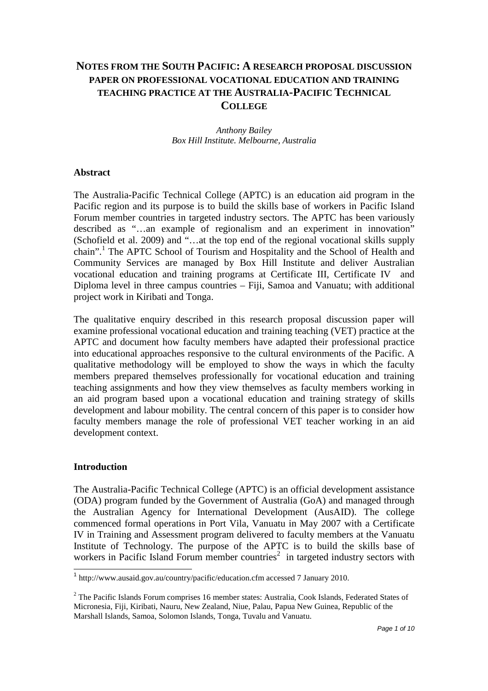# **NOTES FROM THE SOUTH PACIFIC: A RESEARCH PROPOSAL DISCUSSION PAPER ON PROFESSIONAL VOCATIONAL EDUCATION AND TRAINING TEACHING PRACTICE AT THE AUSTRALIA-PACIFIC TECHNICAL COLLEGE**

### *Anthony Bailey Box Hill Institute. Melbourne, Australia*

### **Abstract**

The Australia-Pacific Technical College (APTC) is an education aid program in the Pacific region and its purpose is to build the skills base of workers in Pacific Island Forum member countries in targeted industry sectors. The APTC has been variously described as "…an example of regionalism and an experiment in innovation" (Schofield et al. 2009) and "…at the top end of the regional vocational skills supply chain".<sup>1</sup> The APTC School of Tourism and Hospitality and the School of Health and Community Services are managed by Box Hill Institute and deliver Australian vocational education and training programs at Certificate III, Certificate IV and Diploma level in three campus countries – Fiji, Samoa and Vanuatu; with additional project work in Kiribati and Tonga.

The qualitative enquiry described in this research proposal discussion paper will examine professional vocational education and training teaching (VET) practice at the APTC and document how faculty members have adapted their professional practice into educational approaches responsive to the cultural environments of the Pacific. A qualitative methodology will be employed to show the ways in which the faculty members prepared themselves professionally for vocational education and training teaching assignments and how they view themselves as faculty members working in an aid program based upon a vocational education and training strategy of skills development and labour mobility. The central concern of this paper is to consider how faculty members manage the role of professional VET teacher working in an aid development context.

### **Introduction**

The Australia-Pacific Technical College (APTC) is an official development assistance (ODA) program funded by the Government of Australia (GoA) and managed through the Australian Agency for International Development (AusAID). The college commenced formal operations in Port Vila, Vanuatu in May 2007 with a Certificate IV in Training and Assessment program delivered to faculty members at the Vanuatu Institute of Technology. The purpose of the APTC is to build the skills base of workers in Pacific Island Forum member countries<sup>2</sup> in targeted industry sectors with

 1 http://www.ausaid.gov.au/country/pacific/education.cfm accessed 7 January 2010.

 $2$  The Pacific Islands Forum comprises 16 member states: Australia, Cook Islands, Federated States of Micronesia, Fiji, Kiribati, Nauru, New Zealand, Niue, Palau, Papua New Guinea, Republic of the Marshall Islands, Samoa, Solomon Islands, Tonga, Tuvalu and Vanuatu.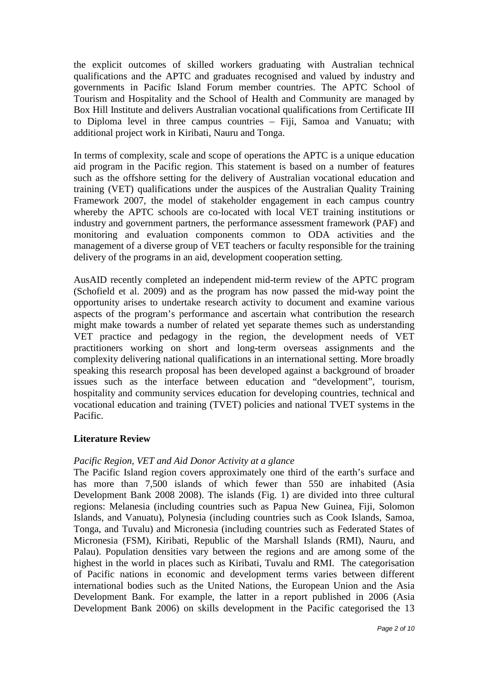the explicit outcomes of skilled workers graduating with Australian technical qualifications and the APTC and graduates recognised and valued by industry and governments in Pacific Island Forum member countries. The APTC School of Tourism and Hospitality and the School of Health and Community are managed by Box Hill Institute and delivers Australian vocational qualifications from Certificate III to Diploma level in three campus countries – Fiji, Samoa and Vanuatu; with additional project work in Kiribati, Nauru and Tonga.

In terms of complexity, scale and scope of operations the APTC is a unique education aid program in the Pacific region. This statement is based on a number of features such as the offshore setting for the delivery of Australian vocational education and training (VET) qualifications under the auspices of the Australian Quality Training Framework 2007, the model of stakeholder engagement in each campus country whereby the APTC schools are co-located with local VET training institutions or industry and government partners, the performance assessment framework (PAF) and monitoring and evaluation components common to ODA activities and the management of a diverse group of VET teachers or faculty responsible for the training delivery of the programs in an aid, development cooperation setting.

AusAID recently completed an independent mid-term review of the APTC program (Schofield et al. 2009) and as the program has now passed the mid-way point the opportunity arises to undertake research activity to document and examine various aspects of the program's performance and ascertain what contribution the research might make towards a number of related yet separate themes such as understanding VET practice and pedagogy in the region, the development needs of VET practitioners working on short and long-term overseas assignments and the complexity delivering national qualifications in an international setting. More broadly speaking this research proposal has been developed against a background of broader issues such as the interface between education and "development", tourism, hospitality and community services education for developing countries, technical and vocational education and training (TVET) policies and national TVET systems in the Pacific.

# **Literature Review**

### *Pacific Region, VET and Aid Donor Activity at a glance*

The Pacific Island region covers approximately one third of the earth's surface and has more than 7,500 islands of which fewer than 550 are inhabited (Asia Development Bank 2008 2008). The islands (Fig. 1) are divided into three cultural regions: Melanesia (including countries such as Papua New Guinea, Fiji, Solomon Islands, and Vanuatu), Polynesia (including countries such as Cook Islands, Samoa, Tonga, and Tuvalu) and Micronesia (including countries such as Federated States of Micronesia (FSM), Kiribati, Republic of the Marshall Islands (RMI), Nauru, and Palau). Population densities vary between the regions and are among some of the highest in the world in places such as Kiribati, Tuvalu and RMI. The categorisation of Pacific nations in economic and development terms varies between different international bodies such as the United Nations, the European Union and the Asia Development Bank. For example, the latter in a report published in 2006 (Asia Development Bank 2006) on skills development in the Pacific categorised the 13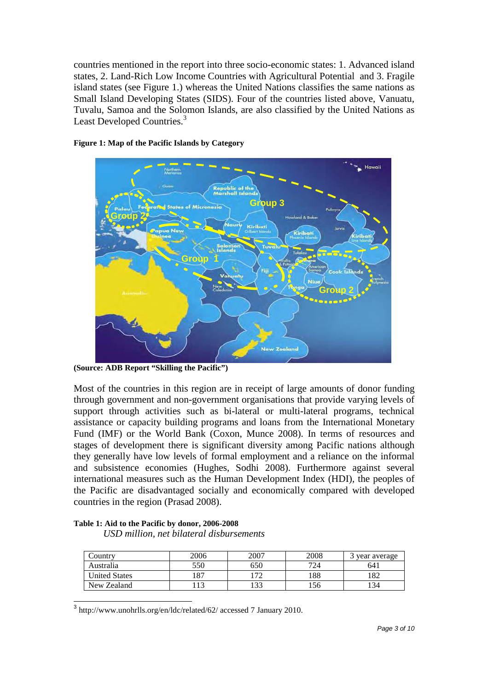countries mentioned in the report into three socio-economic states: 1. Advanced island states, 2. Land-Rich Low Income Countries with Agricultural Potential and 3. Fragile island states (see Figure 1.) whereas the United Nations classifies the same nations as Small Island Developing States (SIDS). Four of the countries listed above, Vanuatu, Tuvalu, Samoa and the Solomon Islands, are also classified by the United Nations as Least Developed Countries.<sup>3</sup>



#### **Figure 1: Map of the Pacific Islands by Category**

**(Source: ADB Report "Skilling the Pacific")** 

Most of the countries in this region are in receipt of large amounts of donor funding through government and non-government organisations that provide varying levels of support through activities such as bi-lateral or multi-lateral programs, technical assistance or capacity building programs and loans from the International Monetary Fund (IMF) or the World Bank (Coxon, Munce 2008). In terms of resources and stages of development there is significant diversity among Pacific nations although they generally have low levels of formal employment and a reliance on the informal and subsistence economies (Hughes, Sodhi 2008). Furthermore against several international measures such as the Human Development Index (HDI), the peoples of the Pacific are disadvantaged socially and economically compared with developed countries in the region (Prasad 2008).

|  |  |  | Table 1: Aid to the Pacific by donor, 2006-2008 |
|--|--|--|-------------------------------------------------|
|  |  |  |                                                 |

*USD million, net bilateral disbursements* 

| Country              | 2006  | 2007 | 2008 | year average |
|----------------------|-------|------|------|--------------|
| Australia            | 550   | 650  | 724  | 64.          |
| <b>United States</b> | 1 O 7 | 70   | 188  | .82          |
| New Zealand          |       |      | .56  | 34           |

3 http://www.unohrlls.org/en/ldc/related/62/ accessed 7 January 2010.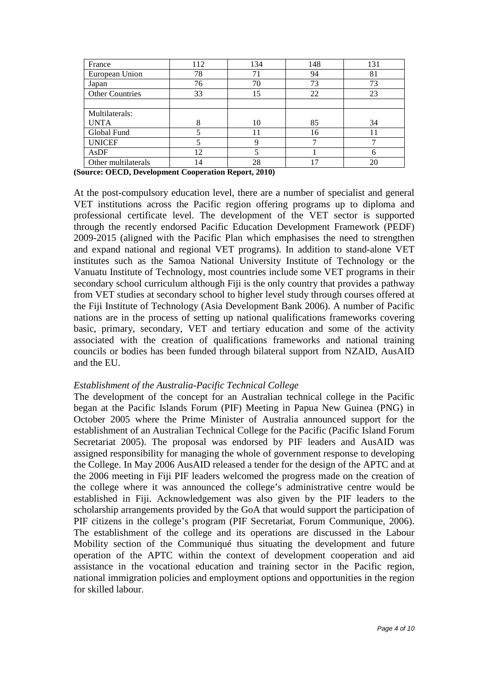| France                 | 112            | 134 | 148 | 131 |
|------------------------|----------------|-----|-----|-----|
| European Union         | 78             | 71  | 94  | 81  |
| Japan                  | 76             | 70  | 73  | 73  |
| <b>Other Countries</b> | 33             | 15  | 22  | 23  |
|                        |                |     |     |     |
| Multilaterals:         |                |     |     |     |
| <b>UNTA</b>            | Ω              | 10  | 85  | 34  |
| Global Fund            |                | 11  | 16  | 11  |
| <b>UNICEF</b>          |                | 9   |     |     |
| AsDF                   | 12             |     |     | 6   |
| Other multilaterals    | $\overline{4}$ | 28  | ۱7  | 20  |

**(Source: OECD, Development Cooperation Report, 2010)** 

At the post-compulsory education level, there are a number of specialist and general VET institutions across the Pacific region offering programs up to diploma and professional certificate level. The development of the VET sector is supported through the recently endorsed Pacific Education Development Framework (PEDF) 2009-2015 (aligned with the Pacific Plan which emphasises the need to strengthen and expand national and regional VET programs). In addition to stand-alone VET institutes such as the Samoa National University Institute of Technology or the Vanuatu Institute of Technology, most countries include some VET programs in their secondary school curriculum although Fiji is the only country that provides a pathway from VET studies at secondary school to higher level study through courses offered at the Fiji Institute of Technology (Asia Development Bank 2006). A number of Pacific nations are in the process of setting up national qualifications frameworks covering basic, primary, secondary, VET and tertiary education and some of the activity associated with the creation of qualifications frameworks and national training councils or bodies has been funded through bilateral support from NZAID, AusAID and the EU.

#### *Establishment of the Australia-Pacific Technical College*

The development of the concept for an Australian technical college in the Pacific began at the Pacific Islands Forum (PIF) Meeting in Papua New Guinea (PNG) in October 2005 where the Prime Minister of Australia announced support for the establishment of an Australian Technical College for the Pacific (Pacific Island Forum Secretariat 2005). The proposal was endorsed by PIF leaders and AusAID was assigned responsibility for managing the whole of government response to developing the College. In May 2006 AusAID released a tender for the design of the APTC and at the 2006 meeting in Fiji PIF leaders welcomed the progress made on the creation of the college where it was announced the college's administrative centre would be established in Fiji. Acknowledgement was also given by the PIF leaders to the scholarship arrangements provided by the GoA that would support the participation of PIF citizens in the college's program (PIF Secretariat, Forum Communique, 2006). The establishment of the college and its operations are discussed in the Labour Mobility section of the Communiqué thus situating the development and future operation of the APTC within the context of development cooperation and aid assistance in the vocational education and training sector in the Pacific region, national immigration policies and employment options and opportunities in the region for skilled labour.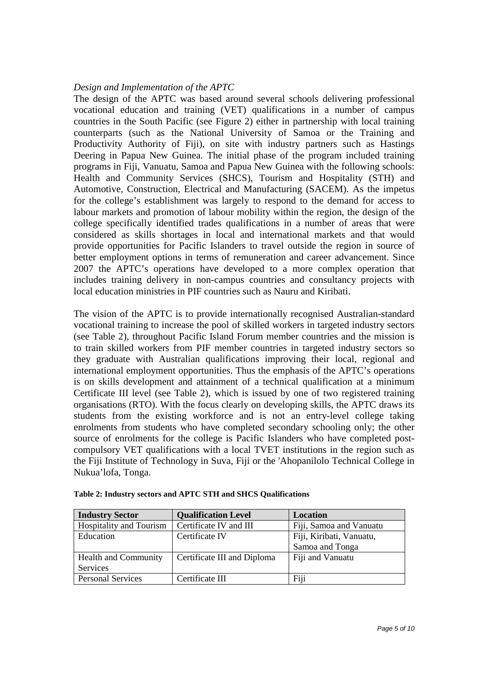### *Design and Implementation of the APTC*

The design of the APTC was based around several schools delivering professional vocational education and training (VET) qualifications in a number of campus countries in the South Pacific (see Figure 2) either in partnership with local training counterparts (such as the National University of Samoa or the Training and Productivity Authority of Fiji), on site with industry partners such as Hastings Deering in Papua New Guinea. The initial phase of the program included training programs in Fiji, Vanuatu, Samoa and Papua New Guinea with the following schools: Health and Community Services (SHCS), Tourism and Hospitality (STH) and Automotive, Construction, Electrical and Manufacturing (SACEM). As the impetus for the college's establishment was largely to respond to the demand for access to labour markets and promotion of labour mobility within the region, the design of the college specifically identified trades qualifications in a number of areas that were considered as skills shortages in local and international markets and that would provide opportunities for Pacific Islanders to travel outside the region in source of better employment options in terms of remuneration and career advancement. Since 2007 the APTC's operations have developed to a more complex operation that includes training delivery in non-campus countries and consultancy projects with local education ministries in PIF countries such as Nauru and Kiribati.

The vision of the APTC is to provide internationally recognised Australian-standard vocational training to increase the pool of skilled workers in targeted industry sectors (see Table 2), throughout Pacific Island Forum member countries and the mission is to train skilled workers from PIF member countries in targeted industry sectors so they graduate with Australian qualifications improving their local, regional and international employment opportunities. Thus the emphasis of the APTC's operations is on skills development and attainment of a technical qualification at a minimum Certificate III level (see Table 2), which is issued by one of two registered training organisations (RTO). With the focus clearly on developing skills, the APTC draws its students from the existing workforce and is not an entry-level college taking enrolments from students who have completed secondary schooling only; the other source of enrolments for the college is Pacific Islanders who have completed postcompulsory VET qualifications with a local TVET institutions in the region such as the Fiji Institute of Technology in Suva, Fiji or the 'Ahopanilolo Technical College in Nukua'lofa, Tonga.

| <b>Industry Sector</b>      | <b>Qualification Level</b>  | Location                 |  |
|-----------------------------|-----------------------------|--------------------------|--|
| Hospitality and Tourism     | Certificate IV and III      | Fiji, Samoa and Vanuatu  |  |
| Education                   | Certificate IV              | Fiji, Kiribati, Vanuatu, |  |
|                             |                             | Samoa and Tonga          |  |
| <b>Health and Community</b> | Certificate III and Diploma | Fiji and Vanuatu         |  |
| <b>Services</b>             |                             |                          |  |
| <b>Personal Services</b>    | Certificate III             | Fiji                     |  |

| Table 2: Industry sectors and APTC STH and SHCS Qualifications |  |  |  |  |
|----------------------------------------------------------------|--|--|--|--|
|----------------------------------------------------------------|--|--|--|--|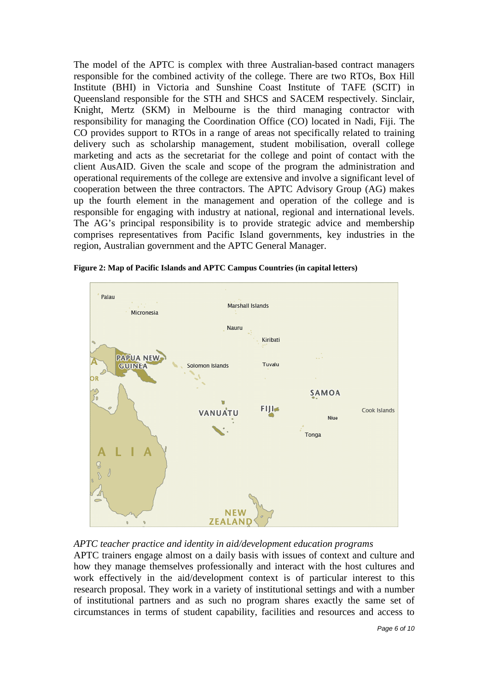The model of the APTC is complex with three Australian-based contract managers responsible for the combined activity of the college. There are two RTOs, Box Hill Institute (BHI) in Victoria and Sunshine Coast Institute of TAFE (SCIT) in Queensland responsible for the STH and SHCS and SACEM respectively. Sinclair, Knight, Mertz (SKM) in Melbourne is the third managing contractor with responsibility for managing the Coordination Office (CO) located in Nadi, Fiji. The CO provides support to RTOs in a range of areas not specifically related to training delivery such as scholarship management, student mobilisation, overall college marketing and acts as the secretariat for the college and point of contact with the client AusAID. Given the scale and scope of the program the administration and operational requirements of the college are extensive and involve a significant level of cooperation between the three contractors. The APTC Advisory Group (AG) makes up the fourth element in the management and operation of the college and is responsible for engaging with industry at national, regional and international levels. The AG's principal responsibility is to provide strategic advice and membership comprises representatives from Pacific Island governments, key industries in the region, Australian government and the APTC General Manager.



**Figure 2: Map of Pacific Islands and APTC Campus Countries (in capital letters)** 



APTC trainers engage almost on a daily basis with issues of context and culture and how they manage themselves professionally and interact with the host cultures and work effectively in the aid/development context is of particular interest to this research proposal. They work in a variety of institutional settings and with a number of institutional partners and as such no program shares exactly the same set of circumstances in terms of student capability, facilities and resources and access to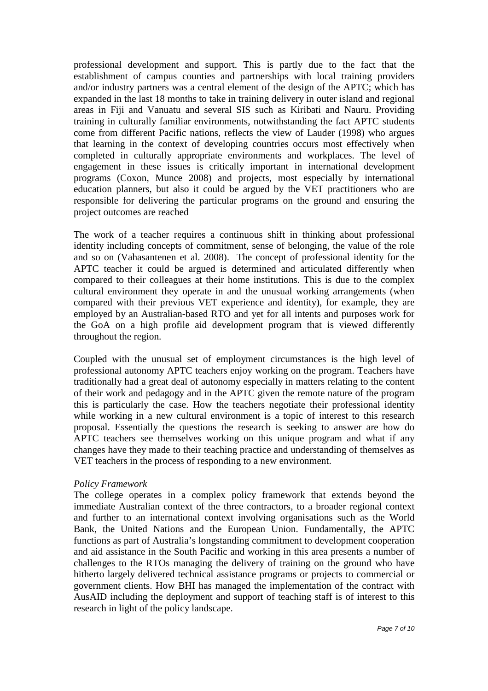professional development and support. This is partly due to the fact that the establishment of campus counties and partnerships with local training providers and/or industry partners was a central element of the design of the APTC; which has expanded in the last 18 months to take in training delivery in outer island and regional areas in Fiji and Vanuatu and several SIS such as Kiribati and Nauru. Providing training in culturally familiar environments, notwithstanding the fact APTC students come from different Pacific nations, reflects the view of Lauder (1998) who argues that learning in the context of developing countries occurs most effectively when completed in culturally appropriate environments and workplaces. The level of engagement in these issues is critically important in international development programs (Coxon, Munce 2008) and projects, most especially by international education planners, but also it could be argued by the VET practitioners who are responsible for delivering the particular programs on the ground and ensuring the project outcomes are reached

The work of a teacher requires a continuous shift in thinking about professional identity including concepts of commitment, sense of belonging, the value of the role and so on (Vahasantenen et al. 2008). The concept of professional identity for the APTC teacher it could be argued is determined and articulated differently when compared to their colleagues at their home institutions. This is due to the complex cultural environment they operate in and the unusual working arrangements (when compared with their previous VET experience and identity), for example, they are employed by an Australian-based RTO and yet for all intents and purposes work for the GoA on a high profile aid development program that is viewed differently throughout the region.

Coupled with the unusual set of employment circumstances is the high level of professional autonomy APTC teachers enjoy working on the program. Teachers have traditionally had a great deal of autonomy especially in matters relating to the content of their work and pedagogy and in the APTC given the remote nature of the program this is particularly the case. How the teachers negotiate their professional identity while working in a new cultural environment is a topic of interest to this research proposal. Essentially the questions the research is seeking to answer are how do APTC teachers see themselves working on this unique program and what if any changes have they made to their teaching practice and understanding of themselves as VET teachers in the process of responding to a new environment.

### *Policy Framework*

The college operates in a complex policy framework that extends beyond the immediate Australian context of the three contractors, to a broader regional context and further to an international context involving organisations such as the World Bank, the United Nations and the European Union. Fundamentally, the APTC functions as part of Australia's longstanding commitment to development cooperation and aid assistance in the South Pacific and working in this area presents a number of challenges to the RTOs managing the delivery of training on the ground who have hitherto largely delivered technical assistance programs or projects to commercial or government clients. How BHI has managed the implementation of the contract with AusAID including the deployment and support of teaching staff is of interest to this research in light of the policy landscape.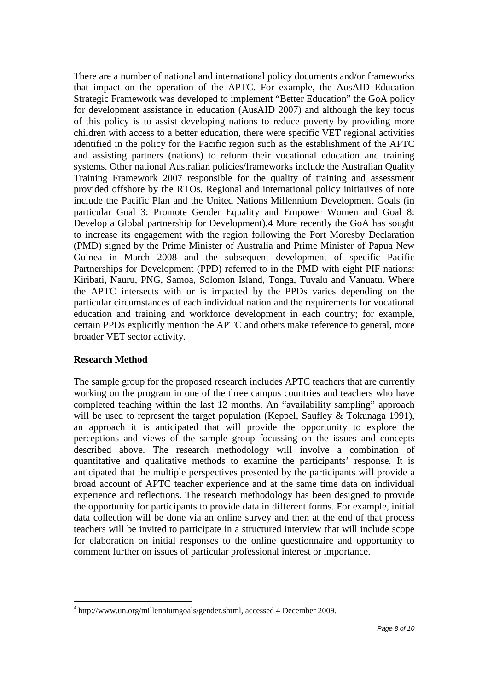There are a number of national and international policy documents and/or frameworks that impact on the operation of the APTC. For example, the AusAID Education Strategic Framework was developed to implement "Better Education" the GoA policy for development assistance in education (AusAID 2007) and although the key focus of this policy is to assist developing nations to reduce poverty by providing more children with access to a better education, there were specific VET regional activities identified in the policy for the Pacific region such as the establishment of the APTC and assisting partners (nations) to reform their vocational education and training systems. Other national Australian policies/frameworks include the Australian Quality Training Framework 2007 responsible for the quality of training and assessment provided offshore by the RTOs. Regional and international policy initiatives of note include the Pacific Plan and the United Nations Millennium Development Goals (in particular Goal 3: Promote Gender Equality and Empower Women and Goal 8: Develop a Global partnership for Development).4 More recently the GoA has sought to increase its engagement with the region following the Port Moresby Declaration (PMD) signed by the Prime Minister of Australia and Prime Minister of Papua New Guinea in March 2008 and the subsequent development of specific Pacific Partnerships for Development (PPD) referred to in the PMD with eight PIF nations: Kiribati, Nauru, PNG, Samoa, Solomon Island, Tonga, Tuvalu and Vanuatu. Where the APTC intersects with or is impacted by the PPDs varies depending on the particular circumstances of each individual nation and the requirements for vocational education and training and workforce development in each country; for example, certain PPDs explicitly mention the APTC and others make reference to general, more broader VET sector activity.

# **Research Method**

The sample group for the proposed research includes APTC teachers that are currently working on the program in one of the three campus countries and teachers who have completed teaching within the last 12 months. An "availability sampling" approach will be used to represent the target population (Keppel, Saufley & Tokunaga 1991), an approach it is anticipated that will provide the opportunity to explore the perceptions and views of the sample group focussing on the issues and concepts described above. The research methodology will involve a combination of quantitative and qualitative methods to examine the participants' response. It is anticipated that the multiple perspectives presented by the participants will provide a broad account of APTC teacher experience and at the same time data on individual experience and reflections. The research methodology has been designed to provide the opportunity for participants to provide data in different forms. For example, initial data collection will be done via an online survey and then at the end of that process teachers will be invited to participate in a structured interview that will include scope for elaboration on initial responses to the online questionnaire and opportunity to comment further on issues of particular professional interest or importance.

<sup>4</sup> http://www.un.org/millenniumgoals/gender.shtml, accessed 4 December 2009.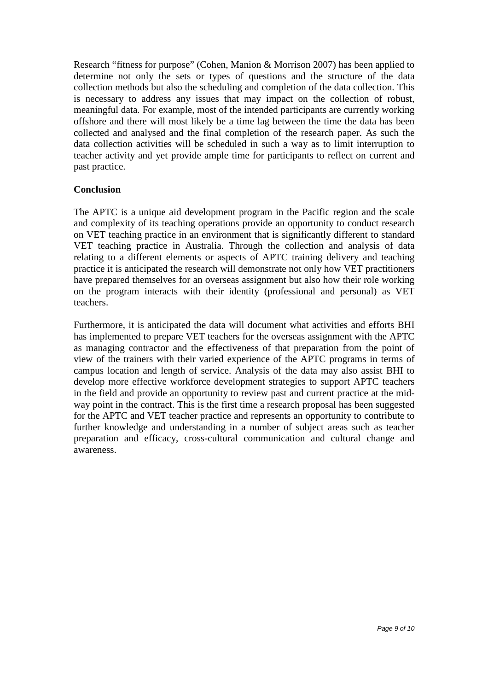Research "fitness for purpose" (Cohen, Manion & Morrison 2007) has been applied to determine not only the sets or types of questions and the structure of the data collection methods but also the scheduling and completion of the data collection. This is necessary to address any issues that may impact on the collection of robust, meaningful data. For example, most of the intended participants are currently working offshore and there will most likely be a time lag between the time the data has been collected and analysed and the final completion of the research paper. As such the data collection activities will be scheduled in such a way as to limit interruption to teacher activity and yet provide ample time for participants to reflect on current and past practice.

### **Conclusion**

The APTC is a unique aid development program in the Pacific region and the scale and complexity of its teaching operations provide an opportunity to conduct research on VET teaching practice in an environment that is significantly different to standard VET teaching practice in Australia. Through the collection and analysis of data relating to a different elements or aspects of APTC training delivery and teaching practice it is anticipated the research will demonstrate not only how VET practitioners have prepared themselves for an overseas assignment but also how their role working on the program interacts with their identity (professional and personal) as VET teachers.

Furthermore, it is anticipated the data will document what activities and efforts BHI has implemented to prepare VET teachers for the overseas assignment with the APTC as managing contractor and the effectiveness of that preparation from the point of view of the trainers with their varied experience of the APTC programs in terms of campus location and length of service. Analysis of the data may also assist BHI to develop more effective workforce development strategies to support APTC teachers in the field and provide an opportunity to review past and current practice at the midway point in the contract. This is the first time a research proposal has been suggested for the APTC and VET teacher practice and represents an opportunity to contribute to further knowledge and understanding in a number of subject areas such as teacher preparation and efficacy, cross-cultural communication and cultural change and awareness.